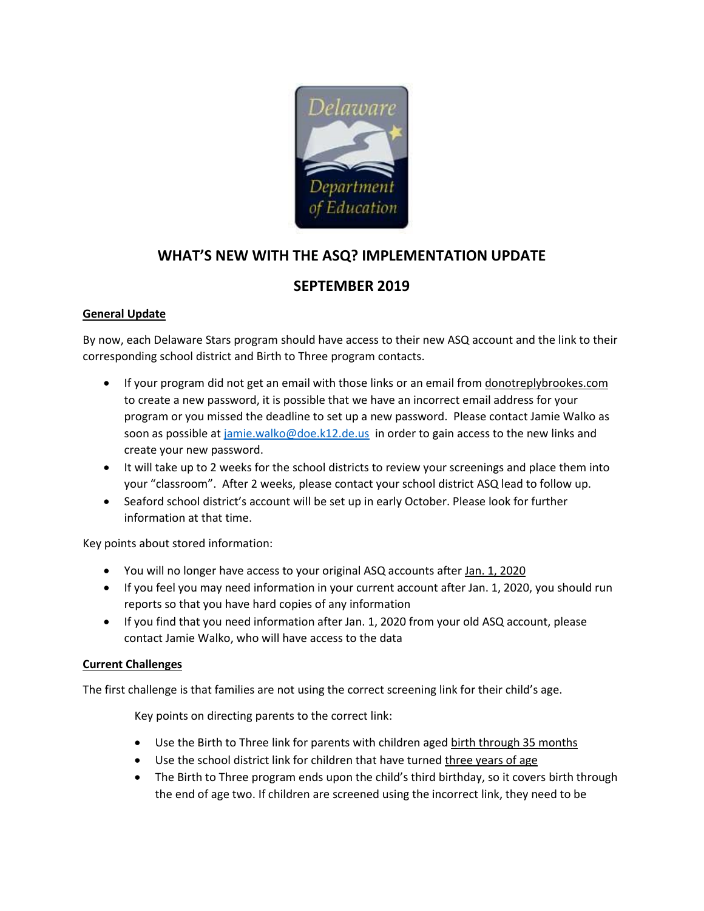

# **WHAT'S NEW WITH THE ASQ? IMPLEMENTATION UPDATE**

# **SEPTEMBER 2019**

## **General Update**

By now, each Delaware Stars program should have access to their new ASQ account and the link to their corresponding school district and Birth to Three program contacts.

- If your program did not get an email with those links or an email from donotreplybrookes.com to create a new password, it is possible that we have an incorrect email address for your program or you missed the deadline to set up a new password. Please contact Jamie Walko as soon as possible a[t jamie.walko@doe.k12.de.us](mailto:jamie.walko@doe.k12.de.us) in order to gain access to the new links and create your new password.
- It will take up to 2 weeks for the school districts to review your screenings and place them into your "classroom". After 2 weeks, please contact your school district ASQ lead to follow up.
- Seaford school district's account will be set up in early October. Please look for further information at that time.

Key points about stored information:

- You will no longer have access to your original ASQ accounts after Jan. 1, 2020
- If you feel you may need information in your current account after Jan. 1, 2020, you should run reports so that you have hard copies of any information
- If you find that you need information after Jan. 1, 2020 from your old ASQ account, please contact Jamie Walko, who will have access to the data

#### **Current Challenges**

The first challenge is that families are not using the correct screening link for their child's age.

Key points on directing parents to the correct link:

- Use the Birth to Three link for parents with children aged birth through 35 months
- Use the school district link for children that have turned three years of age
- The Birth to Three program ends upon the child's third birthday, so it covers birth through the end of age two. If children are screened using the incorrect link, they need to be